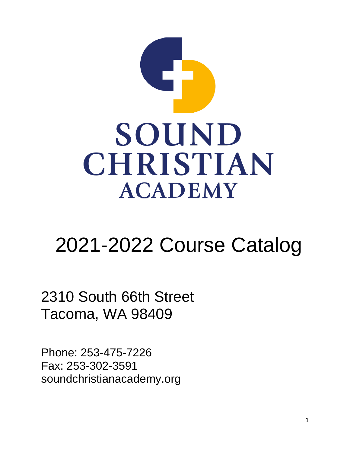

# 2021-2022 Course Catalog

2310 South 66th Street Tacoma, WA 98409

Phone: 253-475-7226 Fax: 253-302-3591 soundchristianacademy.org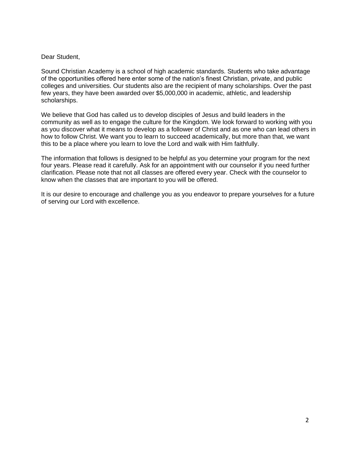#### Dear Student,

Sound Christian Academy is a school of high academic standards. Students who take advantage of the opportunities offered here enter some of the nation's finest Christian, private, and public colleges and universities. Our students also are the recipient of many scholarships. Over the past few years, they have been awarded over \$5,000,000 in academic, athletic, and leadership scholarships.

We believe that God has called us to develop disciples of Jesus and build leaders in the community as well as to engage the culture for the Kingdom. We look forward to working with you as you discover what it means to develop as a follower of Christ and as one who can lead others in how to follow Christ. We want you to learn to succeed academically, but more than that, we want this to be a place where you learn to love the Lord and walk with Him faithfully.

The information that follows is designed to be helpful as you determine your program for the next four years. Please read it carefully. Ask for an appointment with our counselor if you need further clarification. Please note that not all classes are offered every year. Check with the counselor to know when the classes that are important to you will be offered.

It is our desire to encourage and challenge you as you endeavor to prepare yourselves for a future of serving our Lord with excellence.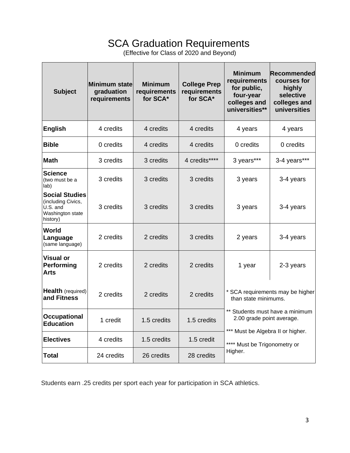# SCA Graduation Requirements

(Effective for Class of 2020 and Beyond)

| <b>Subject</b>                                                                          | Minimum state<br>graduation<br>requirements | <b>Minimum</b><br>requirements<br>for SCA* | <b>College Prep</b><br>requirements<br>for SCA* | <b>Minimum</b><br>requirements<br>for public,<br>four-year<br>colleges and<br>universities**                             | Recommended<br>courses for<br>highly<br>selective<br>colleges and<br>universities |
|-----------------------------------------------------------------------------------------|---------------------------------------------|--------------------------------------------|-------------------------------------------------|--------------------------------------------------------------------------------------------------------------------------|-----------------------------------------------------------------------------------|
| <b>English</b>                                                                          | 4 credits                                   | 4 credits                                  | 4 credits                                       | 4 years                                                                                                                  | 4 years                                                                           |
| <b>Bible</b>                                                                            | 0 credits                                   | 4 credits                                  | 4 credits                                       | 0 credits                                                                                                                | 0 credits                                                                         |
| <b>Math</b>                                                                             | 3 credits                                   | 3 credits                                  | 4 credits****                                   | 3 years***                                                                                                               | 3-4 years***                                                                      |
| <b>Science</b><br>(two must be a<br>lab)                                                | 3 credits                                   | 3 credits                                  | 3 credits                                       | 3 years                                                                                                                  | 3-4 years                                                                         |
| <b>Social Studies</b><br>(including Civics,<br>U.S. and<br>Washington state<br>history) | 3 credits                                   | 3 credits                                  | 3 credits                                       | 3 years                                                                                                                  | 3-4 years                                                                         |
| World<br>Language<br>(same language)                                                    | 2 credits                                   | 2 credits                                  | 3 credits                                       | 2 years                                                                                                                  | 3-4 years                                                                         |
| Visual or<br>Performing<br>Arts                                                         | 2 credits                                   | 2 credits                                  | 2 credits                                       | 1 year                                                                                                                   | 2-3 years                                                                         |
| Health (required)<br>and Fitness                                                        | 2 credits                                   | 2 credits                                  | 2 credits                                       | * SCA requirements may be higher<br>than state minimums.<br>** Students must have a minimum<br>2.00 grade point average. |                                                                                   |
| <b>Occupational</b><br><b>Education</b>                                                 | 1 credit                                    | 1.5 credits                                | 1.5 credits                                     |                                                                                                                          |                                                                                   |
| <b>Electives</b>                                                                        | 4 credits                                   | 1.5 credits                                | 1.5 credit                                      | *** Must be Algebra II or higher.<br>**** Must be Trigonometry or<br>Higher.                                             |                                                                                   |
| Total                                                                                   | 24 credits                                  | 26 credits                                 | 28 credits                                      |                                                                                                                          |                                                                                   |

Students earn .25 credits per sport each year for participation in SCA athletics.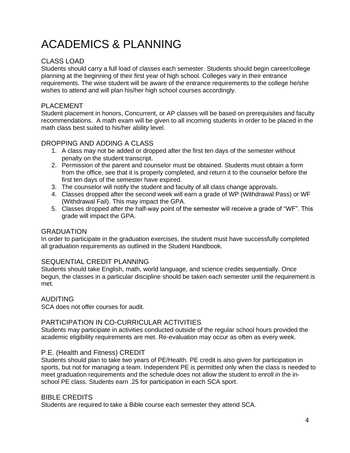# ACADEMICS & PLANNING

#### CLASS LOAD

Students should carry a full load of classes each semester. Students should begin career/college planning at the beginning of their first year of high school. Colleges vary in their entrance requirements. The wise student will be aware of the entrance requirements to the college he/she wishes to attend and will plan his/her high school courses accordingly.

#### PI ACFMENT

Student placement in honors, Concurrent, or AP classes will be based on prerequisites and faculty recommendations. A math exam will be given to all incoming students in order to be placed in the math class best suited to his/her ability level.

#### DROPPING AND ADDING A CLASS

- 1. A class may not be added or dropped after the first ten days of the semester without penalty on the student transcript.
- 2. Permission of the parent and counselor must be obtained. Students must obtain a form from the office, see that it is properly completed, and return it to the counselor before the first ten days of the semester have expired.
- 3. The counselor will notify the student and faculty of all class change approvals.
- 4. Classes dropped after the second week will earn a grade of WP (Withdrawal Pass) or WF (Withdrawal Fail). This may impact the GPA.
- 5. Classes dropped after the half-way point of the semester will receive a grade of "WF". This grade will impact the GPA.

#### GRADUATION

In order to participate in the graduation exercises, the student must have successfully completed all graduation requirements as outlined in the Student Handbook.

#### SEQUENTIAL CREDIT PLANNING

Students should take English, math, world language, and science credits sequentially. Once begun, the classes in a particular discipline should be taken each semester until the requirement is met.

#### AUDITING

SCA does not offer courses for audit.

#### PARTICIPATION IN CO-CURRICULAR ACTIVITIES

Students may participate in activities conducted outside of the regular school hours provided the academic eligibility requirements are met. Re-evaluation may occur as often as every week.

#### P.E. (Health and Fitness) CREDIT

Students should plan to take two years of PE/Health. PE credit is also given for participation in sports, but not for managing a team. Independent PE is permitted only when the class is needed to meet graduation requirements and the schedule does not allow the student to enroll in the inschool PE class. Students earn .25 for participation in each SCA sport.

#### BIBLE CREDITS

Students are required to take a Bible course each semester they attend SCA.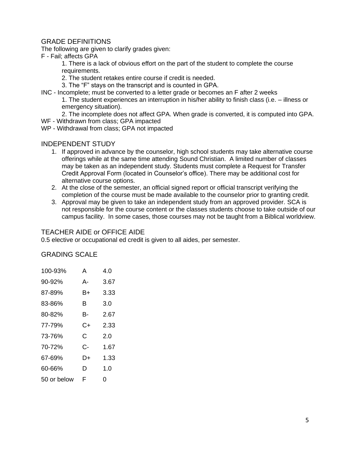#### GRADE DEFINITIONS

The following are given to clarify grades given:

F - Fail; affects GPA

1. There is a lack of obvious effort on the part of the student to complete the course requirements.

- 2. The student retakes entire course if credit is needed.
- 3. The "F" stays on the transcript and is counted in GPA.
- INC Incomplete; must be converted to a letter grade or becomes an F after 2 weeks

1. The student experiences an interruption in his/her ability to finish class (i.e. – illness or emergency situation).

2. The incomplete does not affect GPA. When grade is converted, it is computed into GPA.

- WF Withdrawn from class; GPA impacted
- WP Withdrawal from class; GPA not impacted

#### INDEPENDENT STUDY

- 1. If approved in advance by the counselor, high school students may take alternative course offerings while at the same time attending Sound Christian. A limited number of classes may be taken as an independent study. Students must complete a Request for Transfer Credit Approval Form (located in Counselor's office). There may be additional cost for alternative course options.
- 2. At the close of the semester, an official signed report or official transcript verifying the completion of the course must be made available to the counselor prior to granting credit.
- 3. Approval may be given to take an independent study from an approved provider. SCA is not responsible for the course content or the classes students choose to take outside of our campus facility. In some cases, those courses may not be taught from a Biblical worldview.

#### TEACHER AIDE or OFFICE AIDE

0.5 elective or occupational ed credit is given to all aides, per semester.

#### GRADING SCALE

| 100-93%     | А  | 4.0  |
|-------------|----|------|
| $90 - 92%$  | А- | 3.67 |
| 87-89%      | B+ | 3.33 |
| 83-86%      | в  | 3.0  |
| 80-82%      | В- | 2.67 |
| 77-79%      | C+ | 2.33 |
| 73-76%      | С  | 2.0  |
| 70-72%      | င- | 1.67 |
| 67-69%      | D+ | 1.33 |
| 60-66%      | D  | 1.0  |
| 50 or below | F  | ი    |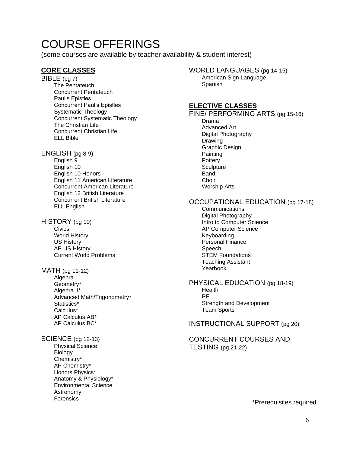# COURSE OFFERINGS

(some courses are available by teacher availability & student interest)

#### **CORE CLASSES**

BIBLE (pg 7) The Pentateuch Concurrent Pentateuch Paul's Epistles Concurrent Paul's Epistles Systematic Theology Concurrent Systematic Theology The Christian Life Concurrent Christian Life ELL Bible

ENGLISH (pg 8-9) English 9 English 10 English 10 Honors English 11 American Literature Concurrent American Literature English 12 British Literature Concurrent British Literature ELL English

HISTORY (pg 10) **Civics** World History US History AP US History Current World Problems

#### MATH (pg 11-12)

Algebra I Geometry\* Algebra II\* Advanced Math/Trigonometry\* Statistics\* Calculus\* AP Calculus AB\* AP Calculus BC\*

SCIENCE (pg 12-13)

Physical Science Biology Chemistry\* AP Chemistry\* Honors Physics\* Anatomy & Physiology\* Environmental Science Astronomy Forensics

WORLD LANGUAGES (pg 14-15) American Sign Language Spanish

#### **ELECTIVE CLASSES**

#### FINE/ PERFORMING ARTS (pg 15-16)

Drama Advanced Art Digital Photography Drawing Graphic Design **Painting Pottery Sculpture** Band **Choir** Worship Arts

#### OCCUPATIONAL EDUCATION (pg 17-18)

**Communications** Digital Photography Intro to Computer Science AP Computer Science Keyboarding Personal Finance Speech STEM Foundations Teaching Assistant Yearbook

PHYSICAL EDUCATION (pg 18-19) Health PE Strength and Development Team Sports

INSTRUCTIONAL SUPPORT (pg 20)

#### CONCURRENT COURSES AND TESTING (pg 21-22)

\*Prerequisites required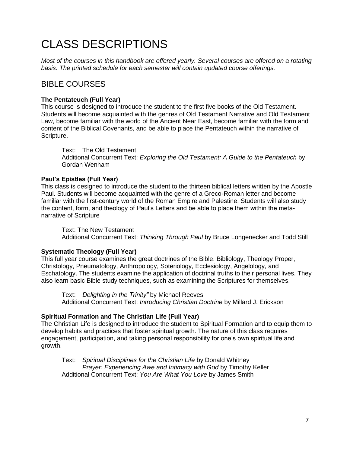# CLASS DESCRIPTIONS

*Most of the courses in this handbook are offered yearly. Several courses are offered on a rotating basis. The printed schedule for each semester will contain updated course offerings.*

### BIBLE COURSES

#### **The Pentateuch (Full Year)**

This course is designed to introduce the student to the first five books of the Old Testament. Students will become acquainted with the genres of Old Testament Narrative and Old Testament Law, become familiar with the world of the Ancient Near East, become familiar with the form and content of the Biblical Covenants, and be able to place the Pentateuch within the narrative of Scripture.

Text: The Old Testament Additional Concurrent Text: *Exploring the Old Testament: A Guide to the Pentateuch* by Gordan Wenham

#### **Paul's Epistles (Full Year)**

This class is designed to introduce the student to the thirteen biblical letters written by the Apostle Paul. Students will become acquainted with the genre of a Greco-Roman letter and become familiar with the first-century world of the Roman Empire and Palestine. Students will also study the content, form, and theology of Paul's Letters and be able to place them within the metanarrative of Scripture

Text: The New Testament Additional Concurrent Text: *Thinking Through Paul* by Bruce Longenecker and Todd Still

#### **Systematic Theology (Full Year)**

This full year course examines the great doctrines of the Bible. Bibliology, Theology Proper, Christology, Pneumatology, Anthropology, Soteriology, Ecclesiology, Angelology, and Eschatology. The students examine the application of doctrinal truths to their personal lives. They also learn basic Bible study techniques, such as examining the Scriptures for themselves.

Text: *Delighting in the Trinity"* by Michael Reeves Additional Concurrent Text: *Introducing Christian Doctrine* by Millard J. Erickson

#### **Spiritual Formation and The Christian Life (Full Year)**

The Christian Life is designed to introduce the student to Spiritual Formation and to equip them to develop habits and practices that foster spiritual growth. The nature of this class requires engagement, participation, and taking personal responsibility for one's own spiritual life and growth.

Text: *Spiritual Disciplines for the Christian Life* by Donald Whitney *Prayer: Experiencing Awe and Intimacy with God* by Timothy Keller Additional Concurrent Text: *You Are What You Love* by James Smith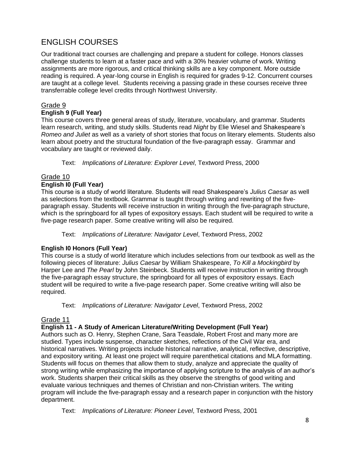# ENGLISH COURSES

Our traditional tract courses are challenging and prepare a student for college. Honors classes challenge students to learn at a faster pace and with a 30% heavier volume of work. Writing assignments are more rigorous, and critical thinking skills are a key component. More outside reading is required. A year-long course in English is required for grades 9-12. Concurrent courses are taught at a college level. Students receiving a passing grade in these courses receive three transferrable college level credits through Northwest University.

#### Grade 9

#### **English 9 (Full Year)**

This course covers three general areas of study, literature, vocabulary, and grammar. Students learn research, writing, and study skills. Students read *Night* by Elie Wiesel and Shakespeare's *Romeo and Juliet* as well as a variety of short stories that focus on literary elements. Students also learn about poetry and the structural foundation of the five-paragraph essay. Grammar and vocabulary are taught or reviewed daily.

Text: *Implications of Literature: Explorer Level*, Textword Press, 2000

### Grade 10

#### **English I0 (Full Year)**

This course is a study of world literature. Students will read Shakespeare's *Julius Caesar* as well as selections from the textbook. Grammar is taught through writing and rewriting of the fiveparagraph essay. Students will receive instruction in writing through the five-paragraph structure, which is the springboard for all types of expository essays. Each student will be required to write a five-page research paper. Some creative writing will also be required.

Text: *Implications of Literature: Navigator Level*, Textword Press, 2002

#### **English I0 Honors (Full Year)**

This course is a study of world literature which includes selections from our textbook as well as the following pieces of literature: *Julius Caesar* by William Shakespeare, *To Kill a Mockingbird* by Harper Lee and *The Pearl* by John Steinbeck. Students will receive instruction in writing through the five-paragraph essay structure, the springboard for all types of expository essays. Each student will be required to write a five-page research paper. Some creative writing will also be required.

Text: *Implications of Literature: Navigator Level*, Textword Press, 2002

#### Grade 11

#### **English 11 - A Study of American Literature/Writing Development (Full Year)**

Authors such as O. Henry, Stephen Crane, Sara Teasdale, Robert Frost and many more are studied. Types include suspense, character sketches, reflections of the Civil War era, and historical narratives. Writing projects include historical narrative, analytical, reflective, descriptive, and expository writing. At least one project will require parenthetical citations and MLA formatting. Students will focus on themes that allow them to study, analyze and appreciate the quality of strong writing while emphasizing the importance of applying scripture to the analysis of an author's work. Students sharpen their critical skills as they observe the strengths of good writing and evaluate various techniques and themes of Christian and non-Christian writers. The writing program will include the five-paragraph essay and a research paper in conjunction with the history department.

Text: *Implications of Literature: Pioneer Level*, Textword Press, 2001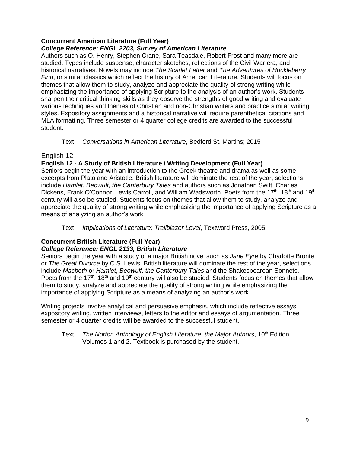#### **Concurrent American Literature (Full Year)**

#### *College Reference: ENGL 2203, Survey of American Literature*

Authors such as O. Henry, Stephen Crane, Sara Teasdale, Robert Frost and many more are studied. Types include suspense, character sketches, reflections of the Civil War era, and historical narratives. Novels may include *The Scarlet Letter* and *The Adventures of Huckleberry Finn*, or similar classics which reflect the history of American Literature. Students will focus on themes that allow them to study, analyze and appreciate the quality of strong writing while emphasizing the importance of applying Scripture to the analysis of an author's work. Students sharpen their critical thinking skills as they observe the strengths of good writing and evaluate various techniques and themes of Christian and non-Christian writers and practice similar writing styles. Expository assignments and a historical narrative will require parenthetical citations and MLA formatting. Three semester or 4 quarter college credits are awarded to the successful student.

Text: *Conversations in American Literature*, Bedford St. Martins; 2015

#### English 12

#### **English 12 - A Study of British Literature / Writing Development (Full Year)**

Seniors begin the year with an introduction to the Greek theatre and drama as well as some excerpts from Plato and Aristotle. British literature will dominate the rest of the year, selections include *Hamlet*, *Beowulf, the Canterbury Tales* and authors such as Jonathan Swift, Charles Dickens, Frank O'Connor, Lewis Carroll, and William Wadsworth. Poets from the 17<sup>th</sup>, 18<sup>th</sup> and 19<sup>th</sup> century will also be studied. Students focus on themes that allow them to study, analyze and appreciate the quality of strong writing while emphasizing the importance of applying Scripture as a means of analyzing an author's work

Text: *Implications of Literature: Trailblazer Level*, Textword Press, 2005

#### **Concurrent British Literature (Full Year)**

#### *College Reference: ENGL 2133, British Literature*

Seniors begin the year with a study of a major British novel such as *Jane Eyre* by Charlotte Bronte or *The Great Divorce* by C.S. Lewis. British literature will dominate the rest of the year, selections include *Macbeth* or *Hamlet*, *Beowulf, the Canterbury Tales* and the Shakespearean Sonnets. Poets from the 17<sup>th</sup>, 18<sup>th</sup> and 19<sup>th</sup> century will also be studied. Students focus on themes that allow them to study, analyze and appreciate the quality of strong writing while emphasizing the importance of applying Scripture as a means of analyzing an author's work.

Writing projects involve analytical and persuasive emphasis, which include reflective essays, expository writing, written interviews, letters to the editor and essays of argumentation. Three semester or 4 quarter credits will be awarded to the successful student.

Text: *The Norton Anthology of English Literature, the Major Authors, 10<sup>th</sup> Edition,* Volumes 1 and 2. Textbook is purchased by the student.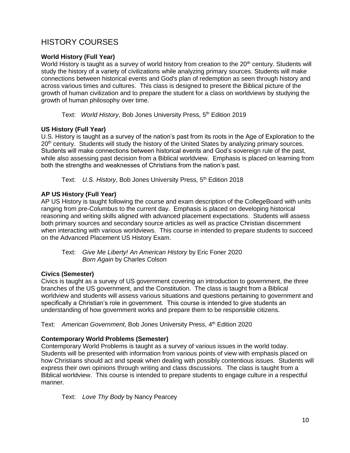# HISTORY COURSES

#### **World History (Full Year)**

World History is taught as a survey of world history from creation to the 20<sup>th</sup> century. Students will study the history of a variety of civilizations while analyzing primary sources. Students will make connections between historical events and God's plan of redemption as seen through history and across various times and cultures. This class is designed to present the Biblical picture of the growth of human civilization and to prepare the student for a class on worldviews by studying the growth of human philosophy over time.

Text: World History, Bob Jones University Press, 5<sup>th</sup> Edition 2019

#### **US History (Full Year)**

U.S. History is taught as a survey of the nation's past from its roots in the Age of Exploration to the 20<sup>th</sup> century. Students will study the history of the United States by analyzing primary sources. Students will make connections between historical events and God's sovereign rule of the past, while also assessing past decision from a Biblical worldview. Emphasis is placed on learning from both the strengths and weaknesses of Christians from the nation's past.

Text: U.S. History, Bob Jones University Press, 5<sup>th</sup> Edition 2018

#### **AP US History (Full Year)**

AP US History is taught following the course and exam description of the CollegeBoard with units ranging from pre-Columbus to the current day. Emphasis is placed on developing historical reasoning and writing skills aligned with advanced placement expectations. Students will assess both primary sources and secondary source articles as well as practice Christian discernment when interacting with various worldviews. This course in intended to prepare students to succeed on the Advanced Placement US History Exam.

| Text: Give Me Liberty! An American History by Eric Foner 2020 |
|---------------------------------------------------------------|
| <b>Born Again by Charles Colson</b>                           |

#### **Civics (Semester)**

Civics is taught as a survey of US government covering an introduction to government, the three branches of the US government, and the Constitution. The class is taught from a Biblical worldview and students will assess various situations and questions pertaining to government and specifically a Christian's role in government. This course is intended to give students an understanding of how government works and prepare them to be responsible citizens.

Text: American Government, Bob Jones University Press, 4<sup>th</sup> Edition 2020

#### **Contemporary World Problems (Semester)**

Contemporary World Problems is taught as a survey of various issues in the world today. Students will be presented with information from various points of view with emphasis placed on how Christians should act and speak when dealing with possibly contentious issues. Students will express their own opinions through writing and class discussions. The class is taught from a Biblical worldview. This course is intended to prepare students to engage culture in a respectful manner.

Text: *Love Thy Body* by Nancy Pearcey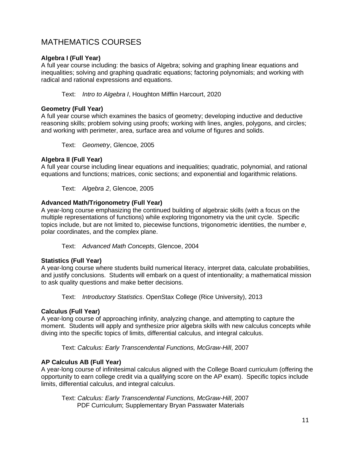### MATHEMATICS COURSES

#### **Algebra I (Full Year)**

A full year course including: the basics of Algebra; solving and graphing linear equations and inequalities; solving and graphing quadratic equations; factoring polynomials; and working with radical and rational expressions and equations.

Text: *Intro to Algebra I*, Houghton Mifflin Harcourt, 2020

#### **Geometry (Full Year)**

A full year course which examines the basics of geometry; developing inductive and deductive reasoning skills; problem solving using proofs; working with lines, angles, polygons, and circles; and working with perimeter, area, surface area and volume of figures and solids.

Text: *Geometry*, Glencoe, 2005

#### **Algebra II (Full Year)**

A full year course including linear equations and inequalities; quadratic, polynomial, and rational equations and functions; matrices, conic sections; and exponential and logarithmic relations.

Text: *Algebra 2*, Glencoe, 2005

#### **Advanced Math/Trigonometry (Full Year)**

A year-long course emphasizing the continued building of algebraic skills (with a focus on the multiple representations of functions) while exploring trigonometry via the unit cycle. Specific topics include, but are not limited to, piecewise functions, trigonometric identities, the number *e*, polar coordinates, and the complex plane.

Text: *Advanced Math Concepts*, Glencoe, 2004

#### **Statistics (Full Year)**

A year-long course where students build numerical literacy, interpret data, calculate probabilities, and justify conclusions. Students will embark on a quest of intentionality; a mathematical mission to ask quality questions and make better decisions.

Text: *Introductory Statistics*. OpenStax College (Rice University), 2013

#### **Calculus (Full Year)**

A year-long course of approaching infinity, analyzing change, and attempting to capture the moment. Students will apply and synthesize prior algebra skills with new calculus concepts while diving into the specific topics of limits, differential calculus, and integral calculus.

Text: *Calculus: Early Transcendental Functions, McGraw-Hill*, 2007

#### **AP Calculus AB (Full Year)**

A year-long course of infinitesimal calculus aligned with the College Board curriculum (offering the opportunity to earn college credit via a qualifying score on the AP exam). Specific topics include limits, differential calculus, and integral calculus.

Text: *Calculus: Early Transcendental Functions, McGraw-Hill*, 2007 PDF Curriculum; Supplementary Bryan Passwater Materials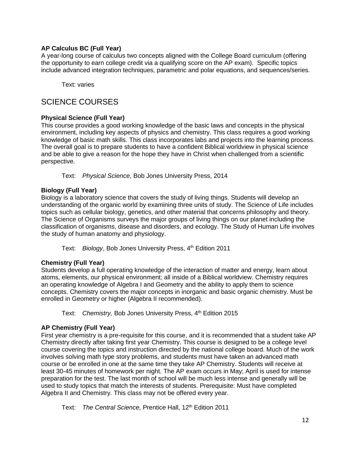#### **AP Calculus BC (Full Year)**

A year-long course of calculus two concepts aligned with the College Board curriculum (offering the opportunity to earn college credit via a qualifying score on the AP exam). Specific topics include advanced integration techniques, parametric and polar equations, and sequences/series.

Text: varies

### SCIENCE COURSES

#### **Physical Science (Full Year)**

This course provides a good working knowledge of the basic laws and concepts in the physical environment, including key aspects of physics and chemistry. This class requires a good working knowledge of basic math skills. This class incorporates labs and projects into the learning process. The overall goal is to prepare students to have a confident Biblical worldview in physical science and be able to give a reason for the hope they have in Christ when challenged from a scientific perspective.

Text: *Physical Science*, Bob Jones University Press, 2014

#### **Biology (Full Year)**

Biology is a laboratory science that covers the study of living things. Students will develop an understanding of the organic world by examining three units of study. The Science of Life includes topics such as cellular biology, genetics, and other material that concerns philosophy and theory. The Science of Organisms surveys the major groups of living things on our planet including the classification of organisms, disease and disorders, and ecology. The Study of Human Life involves the study of human anatomy and physiology.

Text: Biology, Bob Jones University Press, 4<sup>th</sup> Edition 2011

#### **Chemistry (Full Year)**

Students develop a full operating knowledge of the interaction of matter and energy, learn about atoms, elements, our physical environment; all inside of a Biblical worldview. Chemistry requires an operating knowledge of Algebra I and Geometry and the ability to apply them to science concepts. Chemistry covers the major concepts in inorganic and basic organic chemistry. Must be enrolled in Geometry or higher (Algebra II recommended).

Text: Chemistry, Bob Jones University Press, 4<sup>th</sup> Edition 2015

#### **AP Chemistry (Full Year)**

First year chemistry is a pre-requisite for this course, and it is recommended that a student take AP Chemistry directly after taking first year Chemistry. This course is designed to be a college level course covering the topics and instruction directed by the national college board. Much of the work involves solving math type story problems, and students must have taken an advanced math course or be enrolled in one at the same time they take AP Chemistry. Students will receive at least 30-45 minutes of homework per night. The AP exam occurs in May; April is used for intense preparation for the test. The last month of school will be much less intense and generally will be used to study topics that match the interests of students. Prerequisite: Must have completed Algebra II and Chemistry. This class may not be offered every year.

Text: *The Central Science*, Prentice Hall, 12<sup>th</sup> Edition 2011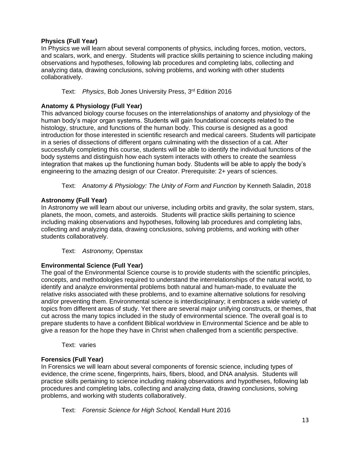#### **Physics (Full Year)**

In Physics we will learn about several components of physics, including forces, motion, vectors, and scalars, work, and energy. Students will practice skills pertaining to science including making observations and hypotheses, following lab procedures and completing labs, collecting and analyzing data, drawing conclusions, solving problems, and working with other students collaboratively.

Text: Physics, Bob Jones University Press, 3<sup>rd</sup> Edition 2016

#### **Anatomy & Physiology (Full Year)**

This advanced biology course focuses on the interrelationships of anatomy and physiology of the human body's major organ systems. Students will gain foundational concepts related to the histology, structure, and functions of the human body. This course is designed as a good introduction for those interested in scientific research and medical careers. Students will participate in a series of dissections of different organs culminating with the dissection of a cat. After successfully completing this course, students will be able to identify the individual functions of the body systems and distinguish how each system interacts with others to create the seamless integration that makes up the functioning human body. Students will be able to apply the body's engineering to the amazing design of our Creator. Prerequisite: 2+ years of sciences.

Text: *Anatomy & Physiology: The Unity of Form and Function* by Kenneth Saladin, 2018

#### **Astronomy (Full Year)**

In Astronomy we will learn about our universe, including orbits and gravity, the solar system, stars, planets, the moon, comets, and asteroids. Students will practice skills pertaining to science including making observations and hypotheses, following lab procedures and completing labs, collecting and analyzing data, drawing conclusions, solving problems, and working with other students collaboratively.

Text: *Astronomy,* Openstax

#### **Environmental Science (Full Year)**

The goal of the Environmental Science course is to provide students with the scientific principles, concepts, and methodologies required to understand the interrelationships of the natural world, to identify and analyze environmental problems both natural and human-made, to evaluate the relative risks associated with these problems, and to examine alternative solutions for resolving and/or preventing them. Environmental science is interdisciplinary; it embraces a wide variety of topics from different areas of study. Yet there are several major unifying constructs, or themes, that cut across the many topics included in the study of environmental science. The overall goal is to prepare students to have a confident Biblical worldview in Environmental Science and be able to give a reason for the hope they have in Christ when challenged from a scientific perspective.

Text: varies

#### **Forensics (Full Year)**

In Forensics we will learn about several components of forensic science, including types of evidence, the crime scene, fingerprints, hairs, fibers, blood, and DNA analysis. Students will practice skills pertaining to science including making observations and hypotheses, following lab procedures and completing labs, collecting and analyzing data, drawing conclusions, solving problems, and working with students collaboratively.

Text: *Forensic Science for High School,* Kendall Hunt 2016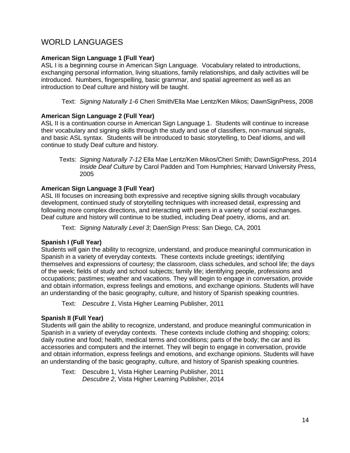# WORLD LANGUAGES

#### **American Sign Language 1 (Full Year)**

ASL I is a beginning course in American Sign Language. Vocabulary related to introductions, exchanging personal information, living situations, family relationships, and daily activities will be introduced. Numbers, fingerspelling, basic grammar, and spatial agreement as well as an introduction to Deaf culture and history will be taught.

Text: *Signing Naturally 1-6* Cheri Smith/Ella Mae Lentz/Ken Mikos; DawnSignPress, 2008

#### **American Sign Language 2 (Full Year)**

ASL II is a continuation course in American Sign Language 1. Students will continue to increase their vocabulary and signing skills through the study and use of classifiers, non-manual signals, and basic ASL syntax. Students will be introduced to basic storytelling, to Deaf idioms, and will continue to study Deaf culture and history.

Texts: *Signing Naturally 7-12* Ella Mae Lentz/Ken Mikos/Cheri Smith; DawnSignPress, 2014 *Inside Deaf Culture* by Carol Padden and Tom Humphries; Harvard University Press, 2005

#### **American Sign Language 3 (Full Year)**

ASL III focuses on increasing both expressive and receptive signing skills through vocabulary development, continued study of storytelling techniques with increased detail, expressing and following more complex directions, and interacting with peers in a variety of social exchanges. Deaf culture and history will continue to be studied, including Deaf poetry, idioms, and art.

Text: *Signing Naturally Level 3*; DaenSign Press: San Diego, CA, 2001

#### **Spanish I (Full Year)**

Students will gain the ability to recognize, understand, and produce meaningful communication in Spanish in a variety of everyday contexts. These contexts include greetings; identifying themselves and expressions of courtesy; the classroom, class schedules, and school life; the days of the week; fields of study and school subjects; family life; identifying people, professions and occupations; pastimes; weather and vacations. They will begin to engage in conversation, provide and obtain information, express feelings and emotions, and exchange opinions. Students will have an understanding of the basic geography, culture, and history of Spanish speaking countries.

Text: *Descubre 1*, Vista Higher Learning Publisher, 2011

#### **Spanish II (Full Year)**

Students will gain the ability to recognize, understand, and produce meaningful communication in Spanish in a variety of everyday contexts. These contexts include clothing and shopping; colors; daily routine and food; health, medical terms and conditions; parts of the body; the car and its accessories and computers and the internet. They will begin to engage in conversation, provide and obtain information, express feelings and emotions, and exchange opinions. Students will have an understanding of the basic geography, culture, and history of Spanish speaking countries.

Text: Descubre 1, Vista Higher Learning Publisher, 2011 *Descubre 2*, Vista Higher Learning Publisher, 2014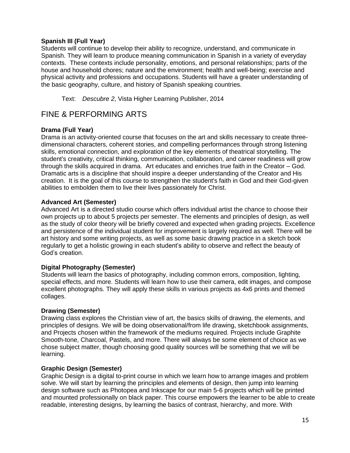#### **Spanish III (Full Year)**

Students will continue to develop their ability to recognize, understand, and communicate in Spanish. They will learn to produce meaning communication in Spanish in a variety of everyday contexts. These contexts include personality, emotions, and personal relationships; parts of the house and household chores; nature and the environment; health and well-being; exercise and physical activity and professions and occupations. Students will have a greater understanding of the basic geography, culture, and history of Spanish speaking countries.

Text: *Descubre 2*, Vista Higher Learning Publisher, 2014

### FINE & PERFORMING ARTS

#### **Drama (Full Year)**

Drama is an activity-oriented course that focuses on the art and skills necessary to create threedimensional characters, coherent stories, and compelling performances through strong listening skills, emotional connection, and exploration of the key elements of theatrical storytelling. The student's creativity, critical thinking, communication, collaboration, and career readiness will grow through the skills acquired in drama. Art educates and enriches true faith in the Creator – God. Dramatic arts is a discipline that should inspire a deeper understanding of the Creator and His creation. It is the goal of this course to strengthen the student's faith in God and their God-given abilities to embolden them to live their lives passionately for Christ.

#### **Advanced Art (Semester)**

Advanced Art is a directed studio course which offers individual artist the chance to choose their own projects up to about 5 projects per semester. The elements and principles of design, as well as the study of color theory will be briefly covered and expected when grading projects. Excellence and persistence of the individual student for improvement is largely required as well. There will be art history and some writing projects, as well as some basic drawing practice in a sketch book regularly to get a holistic growing in each student's ability to observe and reflect the beauty of God's creation.

#### **Digital Photography (Semester)**

Students will learn the basics of photography, including common errors, composition, lighting, special effects, and more. Students will learn how to use their camera, edit images, and compose excellent photographs. They will apply these skills in various projects as 4x6 prints and themed collages.

#### **Drawing (Semester)**

Drawing class explores the Christian view of art, the basics skills of drawing, the elements, and principles of designs. We will be doing observational/from life drawing, sketchbook assignments, and Projects chosen within the framework of the mediums required. Projects include Graphite Smooth-tone, Charcoal, Pastels, and more. There will always be some element of choice as we chose subject matter, though choosing good quality sources will be something that we will be learning.

#### **Graphic Design (Semester)**

Graphic Design is a digital to-print course in which we learn how to arrange images and problem solve. We will start by learning the principles and elements of design, then jump into learning design software such as Photopea and Inkscape for our main 5-6 projects which will be printed and mounted professionally on black paper. This course empowers the learner to be able to create readable, interesting designs, by learning the basics of contrast, hierarchy, and more. With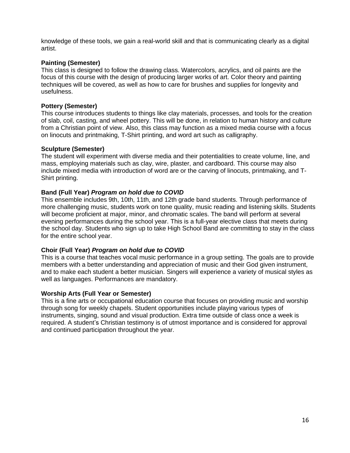knowledge of these tools, we gain a real-world skill and that is communicating clearly as a digital artist.

#### **Painting (Semester)**

This class is designed to follow the drawing class. Watercolors, acrylics, and oil paints are the focus of this course with the design of producing larger works of art. Color theory and painting techniques will be covered, as well as how to care for brushes and supplies for longevity and usefulness.

#### **Pottery (Semester)**

This course introduces students to things like clay materials, processes, and tools for the creation of slab, coil, casting, and wheel pottery. This will be done, in relation to human history and culture from a Christian point of view. Also, this class may function as a mixed media course with a focus on linocuts and printmaking, T-Shirt printing, and word art such as calligraphy.

#### **Sculpture (Semester)**

The student will experiment with diverse media and their potentialities to create volume, line, and mass, employing materials such as clay, wire, plaster, and cardboard. This course may also include mixed media with introduction of word are or the carving of linocuts, printmaking, and T-Shirt printing.

#### **Band (Full Year)** *Program on hold due to COVID*

This ensemble includes 9th, 10th, 11th, and 12th grade band students. Through performance of more challenging music, students work on tone quality, music reading and listening skills. Students will become proficient at major, minor, and chromatic scales. The band will perform at several evening performances during the school year. This is a full-year elective class that meets during the school day. Students who sign up to take High School Band are committing to stay in the class for the entire school year.

#### **Choir (Full Year)** *Program on hold due to COVID*

This is a course that teaches vocal music performance in a group setting. The goals are to provide members with a better understanding and appreciation of music and their God given instrument, and to make each student a better musician. Singers will experience a variety of musical styles as well as languages. Performances are mandatory.

#### **Worship Arts (Full Year or Semester)**

This is a fine arts or occupational education course that focuses on providing music and worship through song for weekly chapels. Student opportunities include playing various types of instruments, singing, sound and visual production. Extra time outside of class once a week is required. A student's Christian testimony is of utmost importance and is considered for approval and continued participation throughout the year.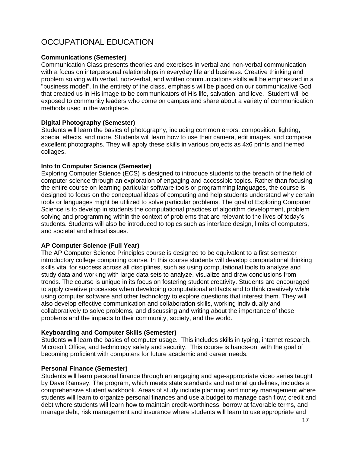# OCCUPATIONAL EDUCATION

#### **Communications (Semester)**

Communication Class presents theories and exercises in verbal and non-verbal communication with a focus on interpersonal relationships in everyday life and business. Creative thinking and problem solving with verbal, non-verbal, and written communications skills will be emphasized in a "business model". In the entirety of the class, emphasis will be placed on our communicative God that created us in His image to be communicators of His life, salvation, and love. Student will be exposed to community leaders who come on campus and share about a variety of communication methods used in the workplace.

#### **Digital Photography (Semester)**

Students will learn the basics of photography, including common errors, composition, lighting, special effects, and more. Students will learn how to use their camera, edit images, and compose excellent photographs. They will apply these skills in various projects as 4x6 prints and themed collages.

#### **Into to Computer Science (Semester)**

Exploring Computer Science (ECS) is designed to introduce students to the breadth of the field of computer science through an exploration of engaging and accessible topics. Rather than focusing the entire course on learning particular software tools or programming languages, the course is designed to focus on the conceptual ideas of computing and help students understand why certain tools or languages might be utilized to solve particular problems. The goal of Exploring Computer Science is to develop in students the computational practices of algorithm development, problem solving and programming within the context of problems that are relevant to the lives of today's students. Students will also be introduced to topics such as interface design, limits of computers, and societal and ethical issues.

#### **AP Computer Science (Full Year)**

The AP Computer Science Principles course is designed to be equivalent to a first semester introductory college computing course. In this course students will develop computational thinking skills vital for success across all disciplines, such as using computational tools to analyze and study data and working with large data sets to analyze, visualize and draw conclusions from trends. The course is unique in its focus on fostering student creativity. Students are encouraged to apply creative processes when developing computational artifacts and to think creatively while using computer software and other technology to explore questions that interest them. They will also develop effective communication and collaboration skills, working individually and collaboratively to solve problems, and discussing and writing about the importance of these problems and the impacts to their community, society, and the world.

#### **Keyboarding and Computer Skills (Semester)**

Students will learn the basics of computer usage. This includes skills in typing, internet research, Microsoft Office, and technology safety and security. This course is hands-on, with the goal of becoming proficient with computers for future academic and career needs.

#### **Personal Finance (Semester)**

Students will learn personal finance through an engaging and age-appropriate video series taught by Dave Ramsey. The program, which meets state standards and national guidelines, includes a comprehensive student workbook. Areas of study include planning and money management where students will learn to organize personal finances and use a budget to manage cash flow; credit and debt where students will learn how to maintain credit-worthiness, borrow at favorable terms, and manage debt; risk management and insurance where students will learn to use appropriate and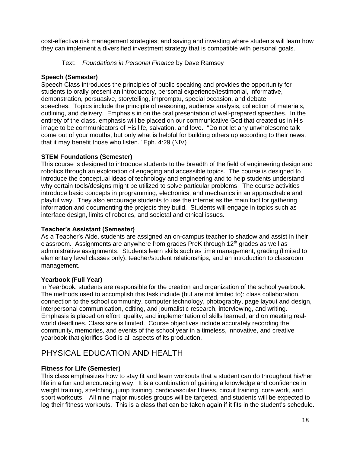cost-effective risk management strategies; and saving and investing where students will learn how they can implement a diversified investment strategy that is compatible with personal goals.

#### Text: *Foundations in Personal Finance* by Dave Ramsey

#### **Speech (Semester)**

Speech Class introduces the principles of public speaking and provides the opportunity for students to orally present an introductory, personal experience/testimonial, informative, demonstration, persuasive, storytelling, impromptu, special occasion, and debate speeches. Topics include the principle of reasoning, audience analysis, collection of materials, outlining, and delivery. Emphasis in on the oral presentation of well-prepared speeches. In the entirety of the class, emphasis will be placed on our communicative God that created us in His image to be communicators of His life, salvation, and love. "Do not let any unwholesome talk come out of your mouths, but only what is helpful for building others up according to their news, that it may benefit those who listen." Eph. 4:29 (NIV)

#### **STEM Foundations (Semester)**

This course is designed to introduce students to the breadth of the field of engineering design and robotics through an exploration of engaging and accessible topics. The course is designed to introduce the conceptual ideas of technology and engineering and to help students understand why certain tools/designs might be utilized to solve particular problems. The course activities introduce basic concepts in programming, electronics, and mechanics in an approachable and playful way. They also encourage students to use the internet as the main tool for gathering information and documenting the projects they build. Students will engage in topics such as interface design, limits of robotics, and societal and ethical issues.

#### **Teacher's Assistant (Semester)**

As a Teacher's Aide, students are assigned an on-campus teacher to shadow and assist in their classroom. Assignments are anywhere from grades PreK through  $12<sup>th</sup>$  grades as well as administrative assignments. Students learn skills such as time management, grading (limited to elementary level classes only), teacher/student relationships, and an introduction to classroom management.

#### **Yearbook (Full Year)**

In Yearbook, students are responsible for the creation and organization of the school yearbook. The methods used to accomplish this task include (but are not limited to): class collaboration, connection to the school community, computer technology, photography, page layout and design, interpersonal communication, editing, and journalistic research, interviewing, and writing. Emphasis is placed on effort, quality, and implementation of skills learned, and on meeting realworld deadlines. Class size is limited. Course objectives include accurately recording the community, memories, and events of the school year in a timeless, innovative, and creative yearbook that glorifies God is all aspects of its production.

### PHYSICAL EDUCATION AND HEALTH

#### **Fitness for Life (Semester)**

This class emphasizes how to stay fit and learn workouts that a student can do throughout his/her life in a fun and encouraging way. It is a combination of gaining a knowledge and confidence in weight training, stretching, jump training, cardiovascular fitness, circuit training, core work, and sport workouts. All nine major muscles groups will be targeted, and students will be expected to log their fitness workouts. This is a class that can be taken again if it fits in the student's schedule.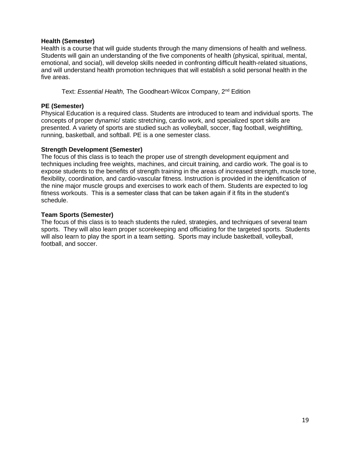#### **Health (Semester)**

Health is a course that will guide students through the many dimensions of health and wellness. Students will gain an understanding of the five components of health (physical, spiritual, mental, emotional, and social), will develop skills needed in confronting difficult health-related situations, and will understand health promotion techniques that will establish a solid personal health in the five areas.

Text: *Essential Health,* The Goodheart-Wilcox Company, 2nd Edition

#### **PE (Semester)**

Physical Education is a required class. Students are introduced to team and individual sports. The concepts of proper dynamic/ static stretching, cardio work, and specialized sport skills are presented. A variety of sports are studied such as volleyball, soccer, flag football, weightlifting, running, basketball, and softball. PE is a one semester class.

#### **Strength Development (Semester)**

The focus of this class is to teach the proper use of strength development equipment and techniques including free weights, machines, and circuit training, and cardio work. The goal is to expose students to the benefits of strength training in the areas of increased strength, muscle tone, flexibility, coordination, and cardio-vascular fitness. Instruction is provided in the identification of the nine major muscle groups and exercises to work each of them. Students are expected to log fitness workouts. This is a semester class that can be taken again if it fits in the student's schedule.

#### **Team Sports (Semester)**

The focus of this class is to teach students the ruled, strategies, and techniques of several team sports. They will also learn proper scorekeeping and officiating for the targeted sports. Students will also learn to play the sport in a team setting. Sports may include basketball, volleyball, football, and soccer.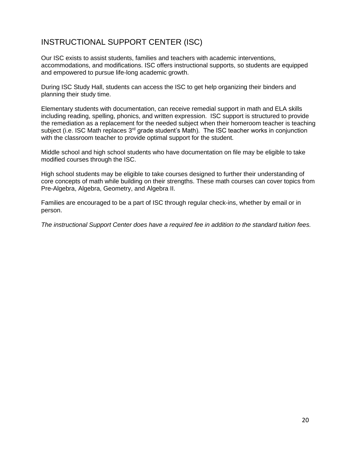### INSTRUCTIONAL SUPPORT CENTER (ISC)

Our ISC exists to assist students, families and teachers with academic interventions, accommodations, and modifications. ISC offers instructional supports, so students are equipped and empowered to pursue life-long academic growth.

During ISC Study Hall, students can access the ISC to get help organizing their binders and planning their study time.

Elementary students with documentation, can receive remedial support in math and ELA skills including reading, spelling, phonics, and written expression. ISC support is structured to provide the remediation as a replacement for the needed subject when their homeroom teacher is teaching subject (i.e. ISC Math replaces  $3<sup>rd</sup>$  grade student's Math). The ISC teacher works in conjunction with the classroom teacher to provide optimal support for the student.

Middle school and high school students who have documentation on file may be eligible to take modified courses through the ISC.

High school students may be eligible to take courses designed to further their understanding of core concepts of math while building on their strengths. These math courses can cover topics from Pre-Algebra, Algebra, Geometry, and Algebra II.

Families are encouraged to be a part of ISC through regular check-ins, whether by email or in person.

*The instructional Support Center does have a required fee in addition to the standard tuition fees.*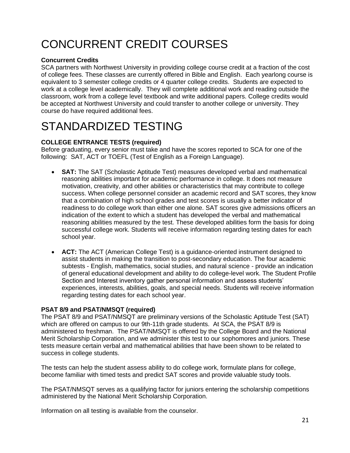# CONCURRENT CREDIT COURSES

#### **Concurrent Credits**

SCA partners with Northwest University in providing college course credit at a fraction of the cost of college fees. These classes are currently offered in Bible and English. Each yearlong course is equivalent to 3 semester college credits or 4 quarter college credits. Students are expected to work at a college level academically. They will complete additional work and reading outside the classroom, work from a college level textbook and write additional papers. College credits would be accepted at Northwest University and could transfer to another college or university. They course do have required additional fees.

# STANDARDIZED TESTING

#### **COLLEGE ENTRANCE TESTS (required)**

Before graduating, every senior must take and have the scores reported to SCA for one of the following: SAT, ACT or TOEFL (Test of English as a Foreign Language).

- **SAT:** The SAT (Scholastic Aptitude Test) measures developed verbal and mathematical reasoning abilities important for academic performance in college. It does not measure motivation, creativity, and other abilities or characteristics that may contribute to college success. When college personnel consider an academic record and SAT scores, they know that a combination of high school grades and test scores is usually a better indicator of readiness to do college work than either one alone. SAT scores give admissions officers an indication of the extent to which a student has developed the verbal and mathematical reasoning abilities measured by the test. These developed abilities form the basis for doing successful college work. Students will receive information regarding testing dates for each school year.
- **ACT:** The ACT (American College Test) is a guidance-oriented instrument designed to assist students in making the transition to post-secondary education. The four academic subtests - English, mathematics, social studies, and natural science - provide an indication of general educational development and ability to do college-level work. The Student Profile Section and Interest inventory gather personal information and assess students' experiences, interests, abilities, goals, and special needs. Students will receive information regarding testing dates for each school year.

#### **PSAT 8/9 and PSAT/NMSQT (required)**

The PSAT 8/9 and PSAT/NMSQT are preliminary versions of the Scholastic Aptitude Test (SAT) which are offered on campus to our 9th-11th grade students. At SCA, the PSAT 8/9 is administered to freshman. The PSAT/NMSQT is offered by the College Board and the National Merit Scholarship Corporation, and we administer this test to our sophomores and juniors. These tests measure certain verbal and mathematical abilities that have been shown to be related to success in college students.

The tests can help the student assess ability to do college work, formulate plans for college, become familiar with timed tests and predict SAT scores and provide valuable study tools.

The PSAT/NMSQT serves as a qualifying factor for juniors entering the scholarship competitions administered by the National Merit Scholarship Corporation.

Information on all testing is available from the counselor.